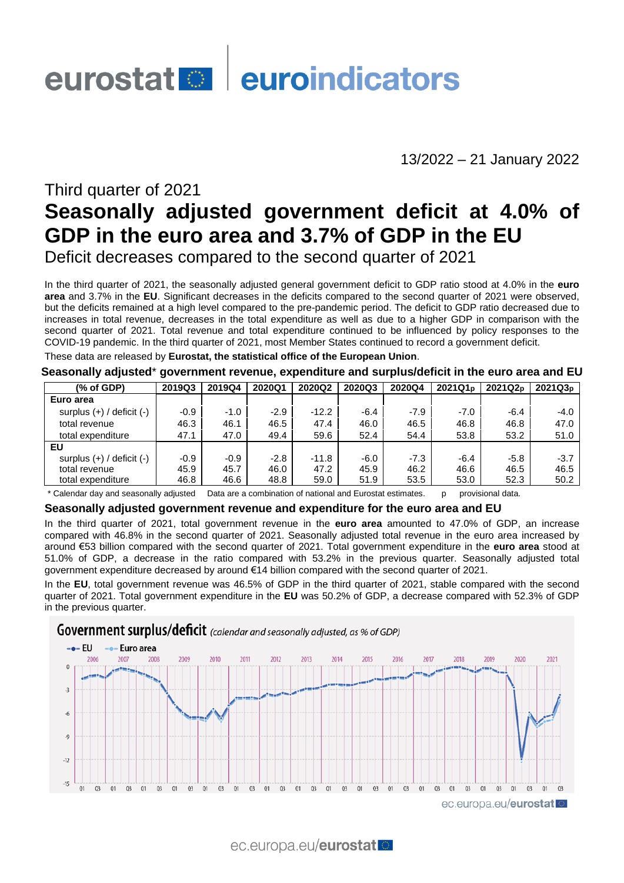# eurostat el euroindicators

13/2022 – 21 January 2022

# Third quarter of 2021 **Seasonally adjusted government deficit at 4.0% of GDP in the euro area and 3.7% of GDP in the EU** Deficit decreases compared to the second quarter of 2021

In the third quarter of 2021, the seasonally adjusted general government deficit to GDP ratio stood at 4.0% in the **euro area** and 3.7% in the **EU**. Significant decreases in the deficits compared to the second quarter of 2021 were observed, but the deficits remained at a high level compared to the pre-pandemic period. The deficit to GDP ratio decreased due to increases in total revenue, decreases in the total expenditure as well as due to a higher GDP in comparison with the second quarter of 2021. Total revenue and total expenditure continued to be influenced by policy responses to the COVID-19 pandemic. In the third quarter of 2021, most Member States continued to record a government deficit.

These data are released by **Eurostat, the statistical office of the European Union**.

#### **Seasonally adjusted**\* **government revenue, expenditure and surplus/deficit in the euro area and EU**

| (% of GDP)                    | 2019Q3 | 2019Q4 | 2020Q1 | 2020Q2  | 2020Q3 | 2020Q4 | 2021Q1 <sub>p</sub> | 2021Q2 <sub>p</sub> | 2021Q3 <sub>p</sub> |
|-------------------------------|--------|--------|--------|---------|--------|--------|---------------------|---------------------|---------------------|
| Euro area                     |        |        |        |         |        |        |                     |                     |                     |
| surplus $(+)$ / deficit $(-)$ | $-0.9$ | $-1.0$ | $-2.9$ | $-12.2$ | $-6.4$ | $-7.9$ | $-7.0$              | $-6.4$              | $-4.0$              |
| total revenue                 | 46.3   | 46.1   | 46.5   | 47.4    | 46.0   | 46.5   | 46.8                | 46.8                | 47.0                |
| total expenditure             | 47.1   | 47.0   | 49.4   | 59.6    | 52.4   | 54.4   | 53.8                | 53.2                | 51.0                |
| EU                            |        |        |        |         |        |        |                     |                     |                     |
| surplus $(+)$ / deficit $(-)$ | $-0.9$ | $-0.9$ | $-2.8$ | $-11.8$ | $-6.0$ | $-7.3$ | $-6.4$              | $-5.8$              | $-3.7$              |
| total revenue                 | 45.9   | 45.7   | 46.0   | 47.2    | 45.9   | 46.2   | 46.6                | 46.5                | 46.5                |
| total expenditure             | 46.8   | 46.6   | 48.8   | 59.0    | 51.9   | 53.5   | 53.0                | 52.3                | 50.2                |

\* Calendar day and seasonally adjusted Data are a combination of national and Eurostat estimates. p provisional data.

#### **Seasonally adjusted government revenue and expenditure for the euro area and EU**

In the third quarter of 2021, total government revenue in the **euro area** amounted to 47.0% of GDP, an increase compared with 46.8% in the second quarter of 2021. Seasonally adjusted total revenue in the euro area increased by around €53 billion compared with the second quarter of 2021. Total government expenditure in the **euro area** stood at 51.0% of GDP, a decrease in the ratio compared with 53.2% in the previous quarter. Seasonally adjusted total government expenditure decreased by around €14 billion compared with the second quarter of 2021.

In the **EU**, total government revenue was 46.5% of GDP in the third quarter of 2021, stable compared with the second quarter of 2021. Total government expenditure in the **EU** was 50.2% of GDP, a decrease compared with 52.3% of GDP in the previous quarter.

### **Government surplus/deficit** (calendar and seasonally adjusted, as % of GDP)

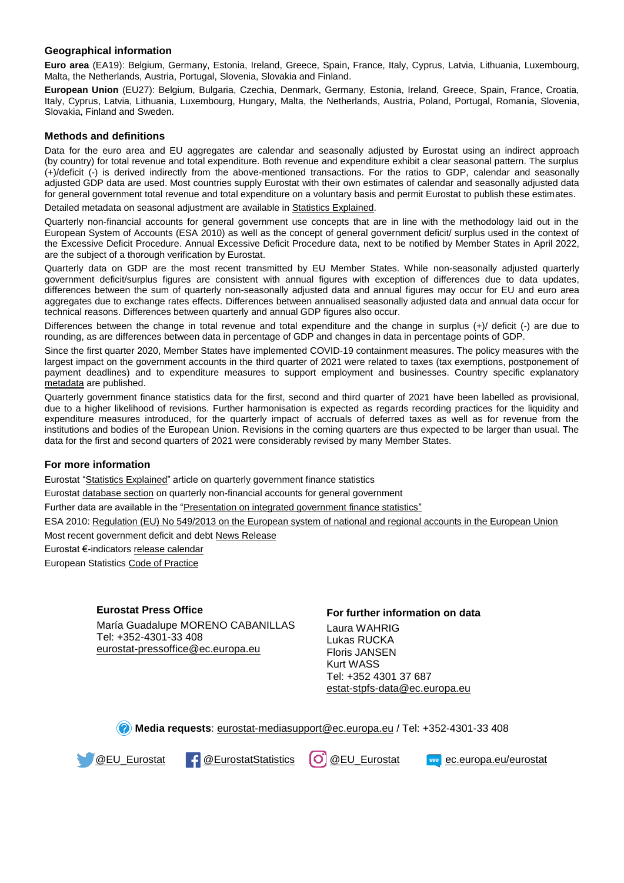#### **Geographical information**

**Euro area** (EA19): Belgium, Germany, Estonia, Ireland, Greece, Spain, France, Italy, Cyprus, Latvia, Lithuania, Luxembourg, Malta, the Netherlands, Austria, Portugal, Slovenia, Slovakia and Finland.

**European Union** (EU27): Belgium, Bulgaria, Czechia, Denmark, Germany, Estonia, Ireland, Greece, Spain, France, Croatia, Italy, Cyprus, Latvia, Lithuania, Luxembourg, Hungary, Malta, the Netherlands, Austria, Poland, Portugal, Romania, Slovenia, Slovakia, Finland and Sweden.

#### **Methods and definitions**

Data for the euro area and EU aggregates are calendar and seasonally adjusted by Eurostat using an indirect approach (by country) for total revenue and total expenditure. Both revenue and expenditure exhibit a clear seasonal pattern. The surplus (+)/deficit (-) is derived indirectly from the above-mentioned transactions. For the ratios to GDP, calendar and seasonally adjusted GDP data are used. Most countries supply Eurostat with their own estimates of calendar and seasonally adjusted data for general government total revenue and total expenditure on a voluntary basis and permit Eurostat to publish these estimates.

Detailed metadata on seasonal adjustment are available i[n Statistics Explained.](http://ec.europa.eu/eurostat/statistics-explained/index.php/Government_finance_statistics_-_quarterly_data)

Quarterly non-financial accounts for general government use concepts that are in line with the methodology laid out in the European System of Accounts (ESA 2010) as well as the concept of general government deficit/ surplus used in the context of the Excessive Deficit Procedure. Annual Excessive Deficit Procedure data, next to be notified by Member States in April 2022, are the subject of a thorough verification by Eurostat.

Quarterly data on GDP are the most recent transmitted by EU Member States. While non-seasonally adjusted quarterly government deficit/surplus figures are consistent with annual figures with exception of differences due to data updates, differences between the sum of quarterly non-seasonally adjusted data and annual figures may occur for EU and euro area aggregates due to exchange rates effects. Differences between annualised seasonally adjusted data and annual data occur for technical reasons. Differences between quarterly and annual GDP figures also occur.

Differences between the change in total revenue and total expenditure and the change in surplus (+)/ deficit (-) are due to rounding, as are differences between data in percentage of GDP and changes in data in percentage points of GDP.

Since the first quarter 2020, Member States have implemented COVID-19 containment measures. The policy measures with the largest impact on the government accounts in the third quarter of 2021 were related to taxes (tax exemptions, postponement of payment deadlines) and to expenditure measures to support employment and businesses. Country specific explanatory [metadata](https://ec.europa.eu/eurostat/cache/metadata/en/gov_10q_ggnfa_esms.htm) are published.

Quarterly government finance statistics data for the first, second and third quarter of 2021 have been labelled as provisional, due to a higher likelihood of revisions. Further harmonisation is expected as regards recording practices for the liquidity and expenditure measures introduced, for the quarterly impact of accruals of deferred taxes as well as for revenue from the institutions and bodies of the European Union. Revisions in the coming quarters are thus expected to be larger than usual. The data for the first and second quarters of 2021 were considerably revised by many Member States.

#### **For more information**

Eurostat ["Statistics Explained"](https://ec.europa.eu/eurostat/statistics-explained/index.php/Government_finance_statistics_-_quarterly_data) article on quarterly government finance statistics

Eurosta[t database section](https://ec.europa.eu/eurostat/web/government-finance-statistics/data/database) on quarterly non-financial accounts for general government

Further data are available in the ["Presentation on integrated government finance statistics"](https://ec.europa.eu/eurostat/statistics-explained/index.php/Integrated_government_finance_statistics_presentation)

ESA 2010: [Regulation \(EU\) No 549/2013 on the European system of national and regional accounts in the European Union](https://eur-lex.europa.eu/legal-content/EN/TXT/?qid=1405675686774&uri=CELEX:32013R0549)

Most recent government deficit and debt [News Release](https://ec.europa.eu/eurostat/en/web/products-press-releases/-/2-22042021-AP)

Eurostat €-indicator[s release calendar](https://ec.europa.eu/eurostat/news/release-calendar)

European Statistic[s Code of Practice](https://ec.europa.eu/eurostat/web/products-catalogues/-/KS-02-18-142)

#### **Eurostat Press Office**

María Guadalupe MORENO CABANILLAS Tel: +352-4301-33 408 [eurostat-pressoffice@ec.europa.eu](mailto:eurostat-pressoffice@ec.europa.eu)

#### **For further information on data**

Laura WAHRIG Lukas RUCKA Floris JANSEN Kurt WASS Tel: +352 4301 37 687 [estat-stpfs-data@ec.europa.eu](mailto:estat-stpfs-data@ec.europa.eu)

**Media requests**: [eurostat-mediasupport@ec.europa.eu](mailto:eurostat-mediasupport@ec.europa.eu) / Tel: +352-4301-33 408

[@EU\\_Eurostat](https://twitter.com/EU_Eurostat) [@EurostatStatistics](https://www.facebook.com/EurostatStatistics) [@EU\\_Eurostat](https://www.instagram.com/eu_eurostat/) [ec.europa.eu/eurostat](https://ec.europa.eu/eurostat)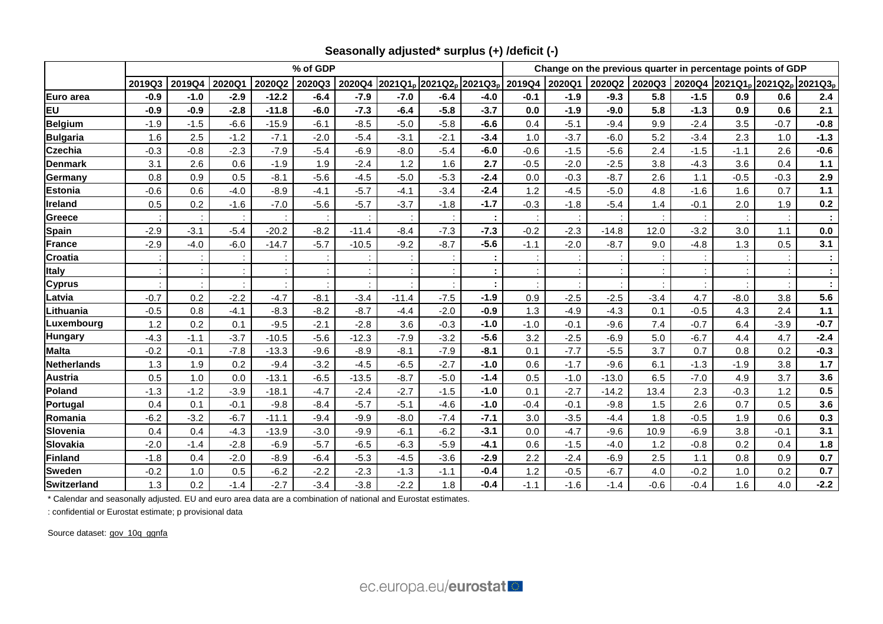|                    | % of GDP |                                                                                                               |        |         |        |         |         |        |        | Change on the previous quarter in percentage points of GDP |        |         |        |                                                                           |        |        |         |  |
|--------------------|----------|---------------------------------------------------------------------------------------------------------------|--------|---------|--------|---------|---------|--------|--------|------------------------------------------------------------|--------|---------|--------|---------------------------------------------------------------------------|--------|--------|---------|--|
|                    | 2019Q3   | 2019Q4<br>2020Q2<br>2020Q4<br>2021Q1 <sub>p</sub> 2021Q2 <sub>p</sub> 2021Q3 <sub>p</sub><br>2020Q1<br>2020Q3 |        |         |        |         |         |        |        | 2019Q4<br>2020Q1<br>2020Q2                                 |        |         |        | 2020Q3 2020Q4 2021Q1 <sub>p</sub> 2021Q2 <sub>p</sub> 2021Q3 <sub>p</sub> |        |        |         |  |
| Euro area          | $-0.9$   | $-1.0$                                                                                                        | $-2.9$ | $-12.2$ | $-6.4$ | $-7.9$  | $-7.0$  | $-6.4$ | $-4.0$ | $-0.1$                                                     | $-1.9$ | $-9.3$  | 5.8    | $-1.5$                                                                    | 0.9    | 0.6    | 2.4     |  |
| EU                 | $-0.9$   | $-0.9$                                                                                                        | $-2.8$ | $-11.8$ | $-6.0$ | $-7.3$  | $-6.4$  | $-5.8$ | $-3.7$ | 0.0                                                        | $-1.9$ | $-9.0$  | 5.8    | $-1.3$                                                                    | 0.9    | 0.6    | 2.1     |  |
| <b>Belgium</b>     | $-1.9$   | $-1.5$                                                                                                        | $-6.6$ | $-15.9$ | $-6.1$ | $-8.5$  | $-5.0$  | $-5.8$ | $-6.6$ | 0.4                                                        | $-5.1$ | $-9.4$  | 9.9    | $-2.4$                                                                    | 3.5    | $-0.7$ | $-0.8$  |  |
| <b>Bulgaria</b>    | 1.6      | 2.5                                                                                                           | $-1.2$ | $-7.1$  | $-2.0$ | $-5.4$  | $-3.1$  | $-2.1$ | $-3.4$ | 1.0                                                        | $-3.7$ | $-6.0$  | 5.2    | $-3.4$                                                                    | 2.3    | 1.0    | $-1.3$  |  |
| <b>Czechia</b>     | $-0.3$   | $-0.8$                                                                                                        | $-2.3$ | $-7.9$  | $-5.4$ | $-6.9$  | $-8.0$  | $-5.4$ | $-6.0$ | $-0.6$                                                     | $-1.5$ | $-5.6$  | 2.4    | $-1.5$                                                                    | $-1.1$ | 2.6    | $-0.6$  |  |
| <b>Denmark</b>     | 3.1      | 2.6                                                                                                           | 0.6    | $-1.9$  | 1.9    | $-2.4$  | 1.2     | 1.6    | 2.7    | $-0.5$                                                     | $-2.0$ | $-2.5$  | 3.8    | $-4.3$                                                                    | 3.6    | 0.4    | $1.1$   |  |
| Germany            | 0.8      | 0.9                                                                                                           | 0.5    | $-8.1$  | $-5.6$ | $-4.5$  | $-5.0$  | $-5.3$ | $-2.4$ | 0.0                                                        | $-0.3$ | $-8.7$  | 2.6    | 1.1                                                                       | $-0.5$ | $-0.3$ | 2.9     |  |
| Estonia            | $-0.6$   | 0.6                                                                                                           | $-4.0$ | $-8.9$  | $-4.1$ | $-5.7$  | $-4.1$  | $-3.4$ | $-2.4$ | 1.2                                                        | $-4.5$ | $-5.0$  | 4.8    | $-1.6$                                                                    | 1.6    | 0.7    | $1.1$   |  |
| Ireland            | 0.5      | 0.2                                                                                                           | $-1.6$ | $-7.0$  | $-5.6$ | $-5.7$  | $-3.7$  | $-1.8$ | $-1.7$ | $-0.3$                                                     | $-1.8$ | $-5.4$  | 1.4    | $-0.1$                                                                    | 2.0    | 1.9    | 0.2     |  |
| Greece             |          |                                                                                                               |        |         |        |         |         |        |        |                                                            |        |         |        |                                                                           |        |        |         |  |
| <b>Spain</b>       | $-2.9$   | $-3.1$                                                                                                        | $-5.4$ | $-20.2$ | $-8.2$ | $-11.4$ | $-8.4$  | $-7.3$ | $-7.3$ | $-0.2$                                                     | $-2.3$ | $-14.8$ | 12.0   | $-3.2$                                                                    | 3.0    | 1.1    | $0.0\,$ |  |
| France             | $-2.9$   | $-4.0$                                                                                                        | $-6.0$ | $-14.7$ | $-5.7$ | $-10.5$ | $-9.2$  | $-8.7$ | $-5.6$ | $-1.1$                                                     | $-2.0$ | $-8.7$  | 9.0    | $-4.8$                                                                    | 1.3    | 0.5    | 3.1     |  |
| <b>Croatia</b>     |          |                                                                                                               |        |         |        |         |         | ÷      |        | ÷                                                          |        |         |        |                                                                           |        |        | ÷       |  |
| <b>Italy</b>       |          |                                                                                                               |        |         |        |         |         |        |        |                                                            |        |         |        |                                                                           |        |        | ÷       |  |
| <b>Cyprus</b>      |          |                                                                                                               |        |         |        |         |         |        |        |                                                            |        |         |        |                                                                           |        |        | ÷       |  |
| Latvia             | $-0.7$   | 0.2                                                                                                           | $-2.2$ | $-4.7$  | $-8.1$ | $-3.4$  | $-11.4$ | $-7.5$ | $-1.9$ | 0.9                                                        | $-2.5$ | $-2.5$  | $-3.4$ | 4.7                                                                       | $-8.0$ | 3.8    | 5.6     |  |
| Lithuania          | $-0.5$   | 0.8                                                                                                           | $-4.1$ | $-8.3$  | $-8.2$ | $-8.7$  | $-4.4$  | $-2.0$ | $-0.9$ | 1.3                                                        | $-4.9$ | $-4.3$  | 0.1    | $-0.5$                                                                    | 4.3    | 2.4    | $1.1$   |  |
| Luxembourg         | 1.2      | 0.2                                                                                                           | 0.1    | $-9.5$  | $-2.1$ | $-2.8$  | 3.6     | $-0.3$ | $-1.0$ | $-1.0$                                                     | $-0.1$ | $-9.6$  | 7.4    | $-0.7$                                                                    | 6.4    | $-3.9$ | $-0.7$  |  |
| <b>Hungary</b>     | $-4.3$   | $-1.1$                                                                                                        | $-3.7$ | $-10.5$ | $-5.6$ | $-12.3$ | $-7.9$  | $-3.2$ | $-5.6$ | 3.2                                                        | $-2.5$ | $-6.9$  | 5.0    | $-6.7$                                                                    | 4.4    | 4.7    | $-2.4$  |  |
| <b>Malta</b>       | $-0.2$   | $-0.1$                                                                                                        | $-7.8$ | $-13.3$ | $-9.6$ | $-8.9$  | $-8.1$  | $-7.9$ | $-8.1$ | 0.1                                                        | $-7.7$ | $-5.5$  | 3.7    | 0.7                                                                       | 0.8    | 0.2    | $-0.3$  |  |
| <b>Netherlands</b> | 1.3      | 1.9                                                                                                           | 0.2    | $-9.4$  | $-3.2$ | $-4.5$  | $-6.5$  | $-2.7$ | $-1.0$ | 0.6                                                        | $-1.7$ | $-9.6$  | 6.1    | $-1.3$                                                                    | $-1.9$ | 3.8    | $1.7$   |  |
| Austria            | 0.5      | 1.0                                                                                                           | 0.0    | $-13.1$ | $-6.5$ | $-13.5$ | $-8.7$  | $-5.0$ | $-1.4$ | 0.5                                                        | $-1.0$ | $-13.0$ | 6.5    | $-7.0$                                                                    | 4.9    | 3.7    | 3.6     |  |
| Poland             | $-1.3$   | $-1.2$                                                                                                        | $-3.9$ | $-18.1$ | $-4.7$ | $-2.4$  | $-2.7$  | $-1.5$ | $-1.0$ | 0.1                                                        | $-2.7$ | $-14.2$ | 13.4   | 2.3                                                                       | $-0.3$ | 1.2    | 0.5     |  |
| Portugal           | 0.4      | 0.1                                                                                                           | $-0.1$ | $-9.8$  | $-8.4$ | $-5.7$  | $-5.1$  | $-4.6$ | $-1.0$ | $-0.4$                                                     | $-0.1$ | $-9.8$  | 1.5    | 2.6                                                                       | 0.7    | 0.5    | 3.6     |  |
| Romania            | $-6.2$   | $-3.2$                                                                                                        | $-6.7$ | $-11.1$ | $-9.4$ | $-9.9$  | $-8.0$  | $-7.4$ | $-7.1$ | 3.0                                                        | $-3.5$ | $-4.4$  | 1.8    | $-0.5$                                                                    | 1.9    | 0.6    | 0.3     |  |
| Slovenia           | 0.4      | 0.4                                                                                                           | $-4.3$ | $-13.9$ | $-3.0$ | $-9.9$  | $-6.1$  | $-6.2$ | $-3.1$ | 0.0                                                        | $-4.7$ | $-9.6$  | 10.9   | $-6.9$                                                                    | 3.8    | $-0.1$ | 3.1     |  |
| Slovakia           | $-2.0$   | $-1.4$                                                                                                        | $-2.8$ | $-6.9$  | $-5.7$ | $-6.5$  | $-6.3$  | $-5.9$ | $-4.1$ | 0.6                                                        | $-1.5$ | $-4.0$  | 1.2    | $-0.8$                                                                    | 0.2    | 0.4    | 1.8     |  |
| <b>Finland</b>     | $-1.8$   | 0.4                                                                                                           | $-2.0$ | $-8.9$  | $-6.4$ | $-5.3$  | $-4.5$  | $-3.6$ | $-2.9$ | 2.2                                                        | $-2.4$ | $-6.9$  | 2.5    | 1.1                                                                       | 0.8    | 0.9    | 0.7     |  |
| <b>Sweden</b>      | $-0.2$   | 1.0                                                                                                           | 0.5    | $-6.2$  | $-2.2$ | $-2.3$  | $-1.3$  | $-1.1$ | $-0.4$ | 1.2                                                        | $-0.5$ | $-6.7$  | 4.0    | $-0.2$                                                                    | 1.0    | 0.2    | 0.7     |  |
| <b>Switzerland</b> | 1.3      | 0.2                                                                                                           | $-1.4$ | $-2.7$  | $-3.4$ | $-3.8$  | $-2.2$  | 1.8    | $-0.4$ | $-1.1$                                                     | $-1.6$ | $-1.4$  | $-0.6$ | $-0.4$                                                                    | 1.6    | 4.0    | $-2.2$  |  |

**Seasonally adjusted\* surplus (+) /deficit (-)**

\* Calendar and seasonally adjusted. EU and euro area data are a combination of national and Eurostat estimates.

: confidential or Eurostat estimate; p provisional data

Source dataset: [gov\\_10q\\_ggnfa](https://ec.europa.eu/eurostat/databrowser/bookmark/c39577f7-0d35-4a28-a767-1d4fbc4cbe12?lang=en)